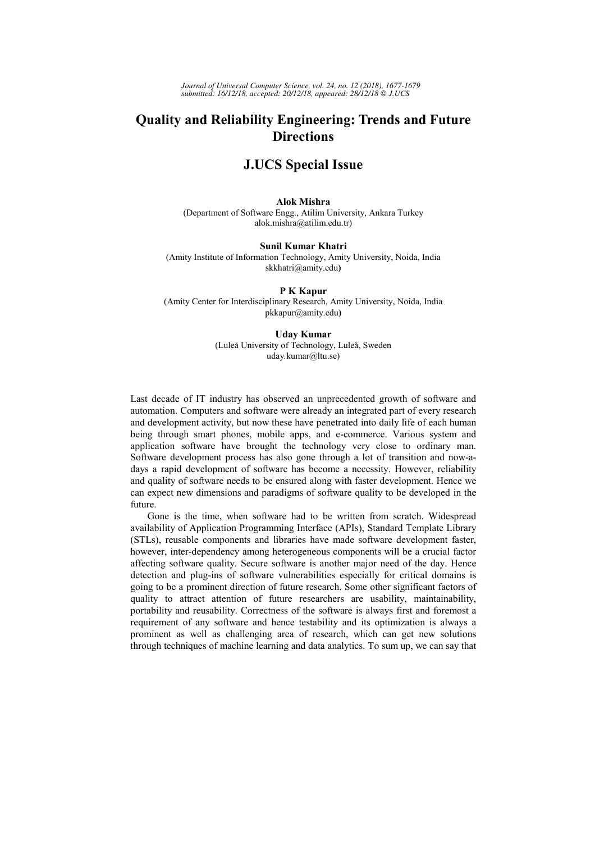# **Quality and Reliability Engineering: Trends and Future Directions**

# **J.UCS Special Issue**

**Alok Mishra**  (Department of Software Engg., Atilim University, Ankara Turkey alok.mishra@atilim.edu.tr)

## **Sunil Kumar Khatri**

(Amity Institute of Information Technology, Amity University, Noida, India skkhatri@amity.edu**)**

### **P K Kapur**

(Amity Center for Interdisciplinary Research, Amity University, Noida, India pkkapur@amity.edu**)**

### **Uday Kumar**

(Luleå University of Technology, Luleå, Sweden uday*.*kumar@ltu.se)

Last decade of IT industry has observed an unprecedented growth of software and automation. Computers and software were already an integrated part of every research and development activity, but now these have penetrated into daily life of each human being through smart phones, mobile apps, and e-commerce. Various system and application software have brought the technology very close to ordinary man. Software development process has also gone through a lot of transition and now-adays a rapid development of software has become a necessity. However, reliability and quality of software needs to be ensured along with faster development. Hence we can expect new dimensions and paradigms of software quality to be developed in the future.

Gone is the time, when software had to be written from scratch. Widespread availability of Application Programming Interface (APIs), Standard Template Library (STLs), reusable components and libraries have made software development faster, however, inter-dependency among heterogeneous components will be a crucial factor affecting software quality. Secure software is another major need of the day. Hence detection and plug-ins of software vulnerabilities especially for critical domains is going to be a prominent direction of future research. Some other significant factors of quality to attract attention of future researchers are usability, maintainability, portability and reusability. Correctness of the software is always first and foremost a requirement of any software and hence testability and its optimization is always a prominent as well as challenging area of research, which can get new solutions through techniques of machine learning and data analytics. To sum up, we can say that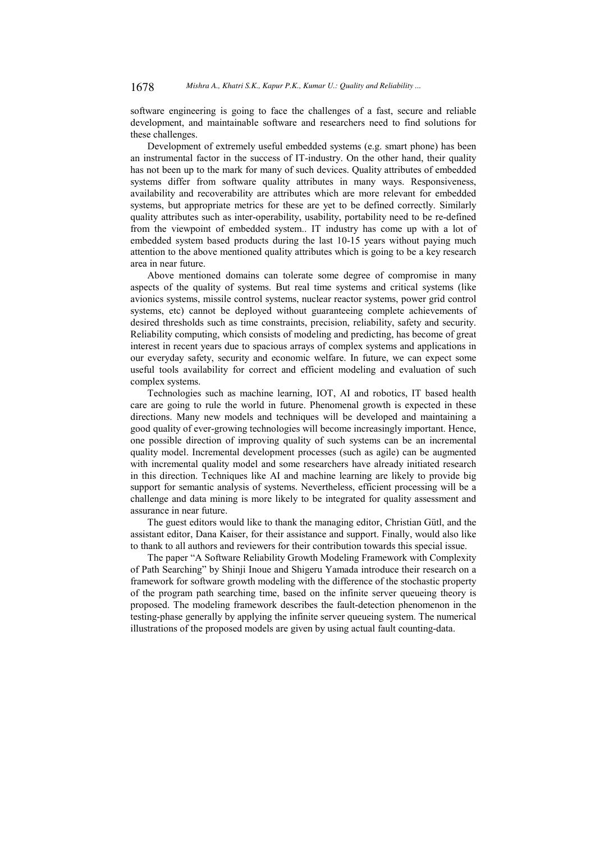software engineering is going to face the challenges of a fast, secure and reliable development, and maintainable software and researchers need to find solutions for these challenges.

Development of extremely useful embedded systems (e.g. smart phone) has been an instrumental factor in the success of IT-industry. On the other hand, their quality has not been up to the mark for many of such devices. Quality attributes of embedded systems differ from software quality attributes in many ways. Responsiveness, availability and recoverability are attributes which are more relevant for embedded systems, but appropriate metrics for these are yet to be defined correctly. Similarly quality attributes such as inter-operability, usability, portability need to be re-defined from the viewpoint of embedded system.. IT industry has come up with a lot of embedded system based products during the last 10-15 years without paying much attention to the above mentioned quality attributes which is going to be a key research area in near future.

Above mentioned domains can tolerate some degree of compromise in many aspects of the quality of systems. But real time systems and critical systems (like avionics systems, missile control systems, nuclear reactor systems, power grid control systems, etc) cannot be deployed without guaranteeing complete achievements of desired thresholds such as time constraints, precision, reliability, safety and security. Reliability computing, which consists of modeling and predicting, has become of great interest in recent years due to spacious arrays of complex systems and applications in our everyday safety, security and economic welfare. In future, we can expect some useful tools availability for correct and efficient modeling and evaluation of such complex systems.

Technologies such as machine learning, IOT, AI and robotics, IT based health care are going to rule the world in future. Phenomenal growth is expected in these directions. Many new models and techniques will be developed and maintaining a good quality of ever-growing technologies will become increasingly important. Hence, one possible direction of improving quality of such systems can be an incremental quality model. Incremental development processes (such as agile) can be augmented with incremental quality model and some researchers have already initiated research in this direction. Techniques like AI and machine learning are likely to provide big support for semantic analysis of systems. Nevertheless, efficient processing will be a challenge and data mining is more likely to be integrated for quality assessment and assurance in near future.

The guest editors would like to thank the managing editor, Christian Gütl, and the assistant editor, Dana Kaiser, for their assistance and support. Finally, would also like to thank to all authors and reviewers for their contribution towards this special issue.

The paper "A Software Reliability Growth Modeling Framework with Complexity of Path Searching" by Shinji Inoue and Shigeru Yamada introduce their research on a framework for software growth modeling with the difference of the stochastic property of the program path searching time, based on the infinite server queueing theory is proposed. The modeling framework describes the fault-detection phenomenon in the testing-phase generally by applying the infinite server queueing system. The numerical illustrations of the proposed models are given by using actual fault counting-data.